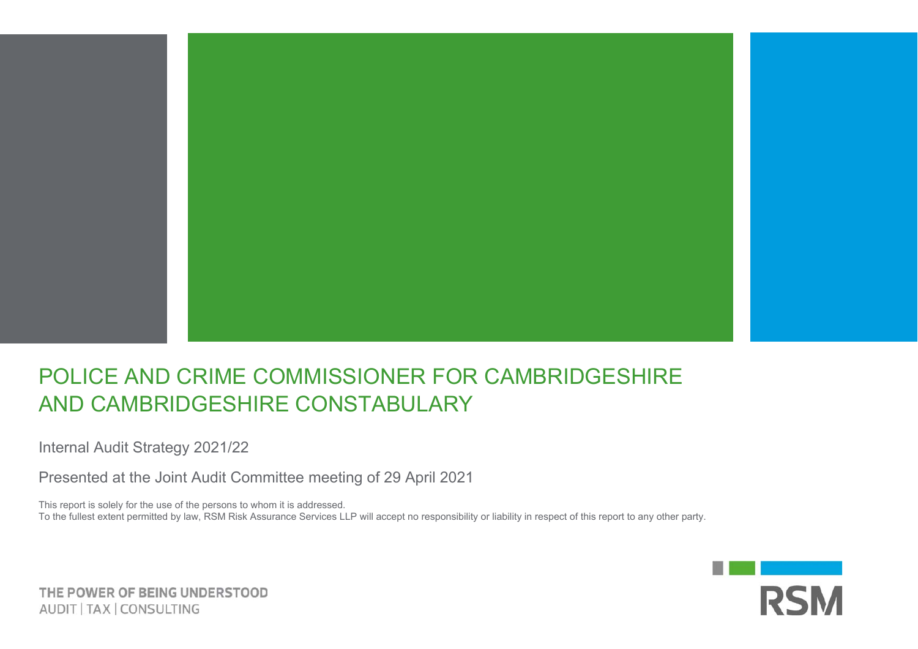

## POLICE AND CRIME COMMISSIONER FOR CAMBRIDGESHIRE AND CAMBRIDGESHIRE CONSTABULARY

Internal Audit Strategy 2021/22

Presented at the Joint Audit Committee meeting of 29 April 2021

This report is solely for the use of the persons to whom it is addressed.

To the fullest extent permitted by law, RSM Risk Assurance Services LLP will accept no responsibility or liability in respect of this report to any other party.



THE POWER OF BEING UNDERSTOOD AUDIT | TAX | CONSULTING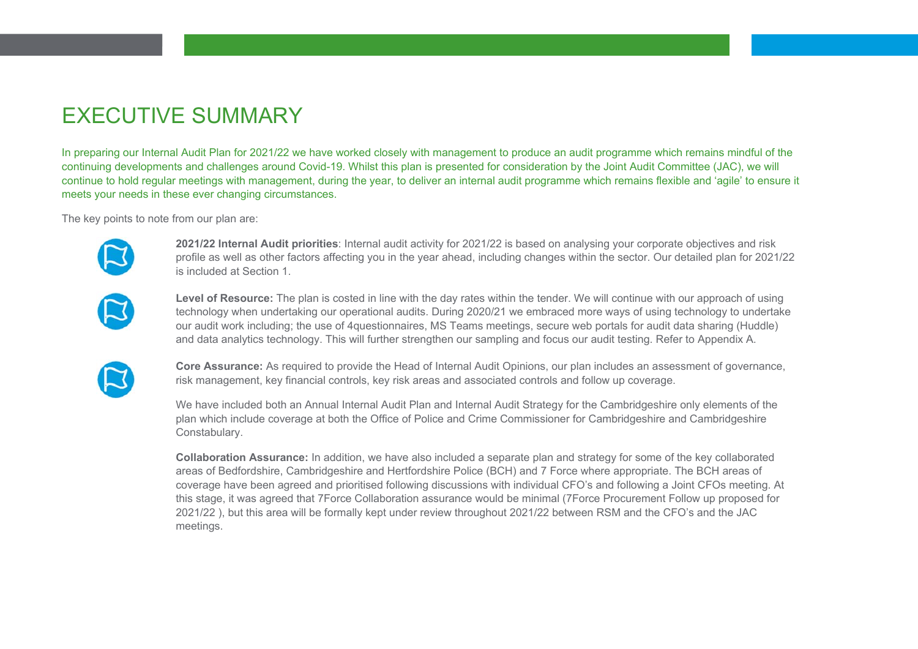## EXECUTIVE SUMMARY

In preparing our Internal Audit Plan for 2021/22 we have worked closely with management to produce an audit programme which remains mindful of the continuing developments and challenges around Covid-19. Whilst this plan is presented for consideration by the Joint Audit Committee (JAC), we will continue to hold regular meetings with management, during the year, to deliver an internal audit programme which remains flexible and 'agile' to ensure it meets your needs in these ever changing circumstances.

The key points to note from our plan are:



**2021/22 Internal Audit priorities**: Internal audit activity for 2021/22 is based on analysing your corporate objectives and risk profile as well as other factors affecting you in the year ahead, including changes within the sector. Our detailed plan for 2021/22 is included at Section 1.



**Level of Resource:** The plan is costed in line with the day rates within the tender. We will continue with our approach of using technology when undertaking our operational audits. During 2020/21 we embraced more ways of using technology to undertake our audit work including; the use of 4questionnaires, MS Teams meetings, secure web portals for audit data sharing (Huddle) and data analytics technology. This will further strengthen our sampling and focus our audit testing. Refer to Appendix A.



**Core Assurance:** As required to provide the Head of Internal Audit Opinions, our plan includes an assessment of governance, risk management, key financial controls, key risk areas and associated controls and follow up coverage.

We have included both an Annual Internal Audit Plan and Internal Audit Strategy for the Cambridgeshire only elements of the plan which include coverage at both the Office of Police and Crime Commissioner for Cambridgeshire and Cambridgeshire Constabulary.

**Collaboration Assurance:** In addition, we have also included a separate plan and strategy for some of the key collaborated areas of Bedfordshire, Cambridgeshire and Hertfordshire Police (BCH) and 7 Force where appropriate. The BCH areas of coverage have been agreed and prioritised following discussions with individual CFO's and following a Joint CFOs meeting. At this stage, it was agreed that 7Force Collaboration assurance would be minimal (7Force Procurement Follow up proposed for 2021/22 ), but this area will be formally kept under review throughout 2021/22 between RSM and the CFO's and the JAC meetings.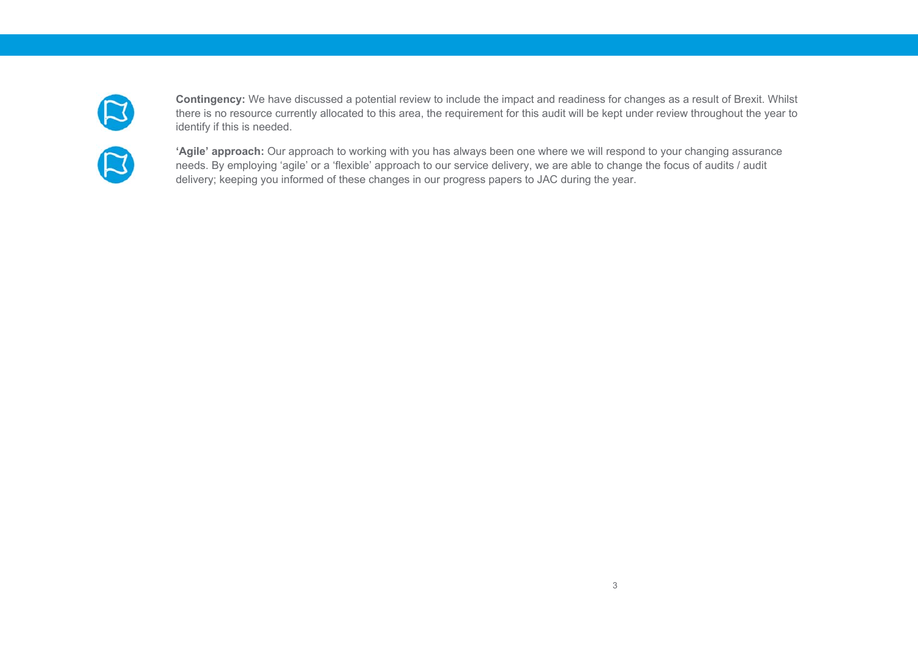

**Contingency:** We have discussed a potential review to include the impact and readiness for changes as a result of Brexit. Whilst there is no resource currently allocated to this area, the requirement for this audit will be kept under review throughout the year to identify if this is needed.

**'Agile' approach:** Our approach to working with you has always been one where we will respond to your changing assurance needs. By employing 'agile' or a 'flexible' approach to our service delivery, we are able to change the focus of audits / audit delivery; keeping you informed of these changes in our progress papers to JAC during the year.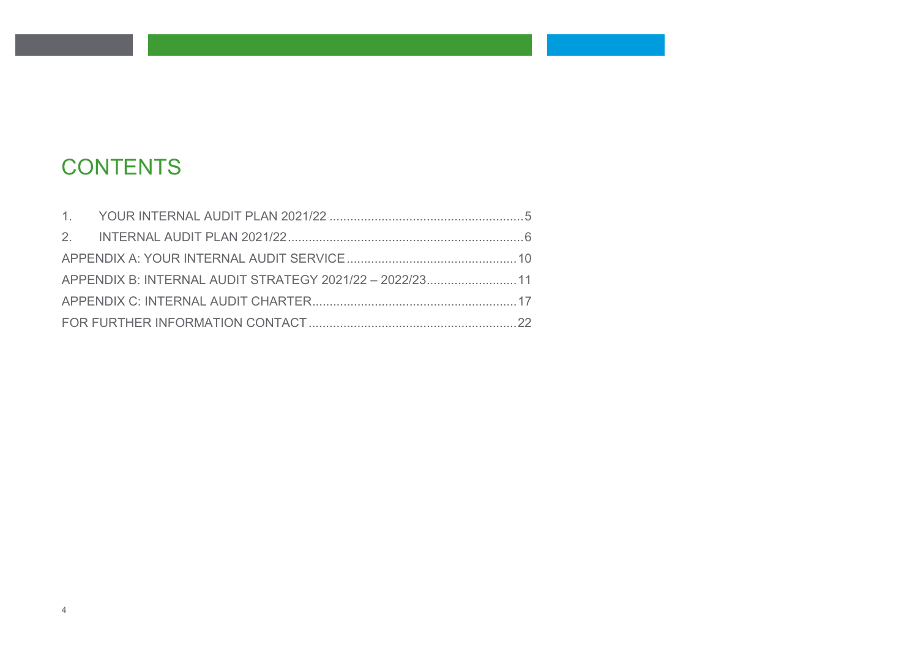# **CONTENTS**

| APPENDIX B: INTERNAL AUDIT STRATEGY 2021/22 - 2022/23 11 |  |
|----------------------------------------------------------|--|
|                                                          |  |
|                                                          |  |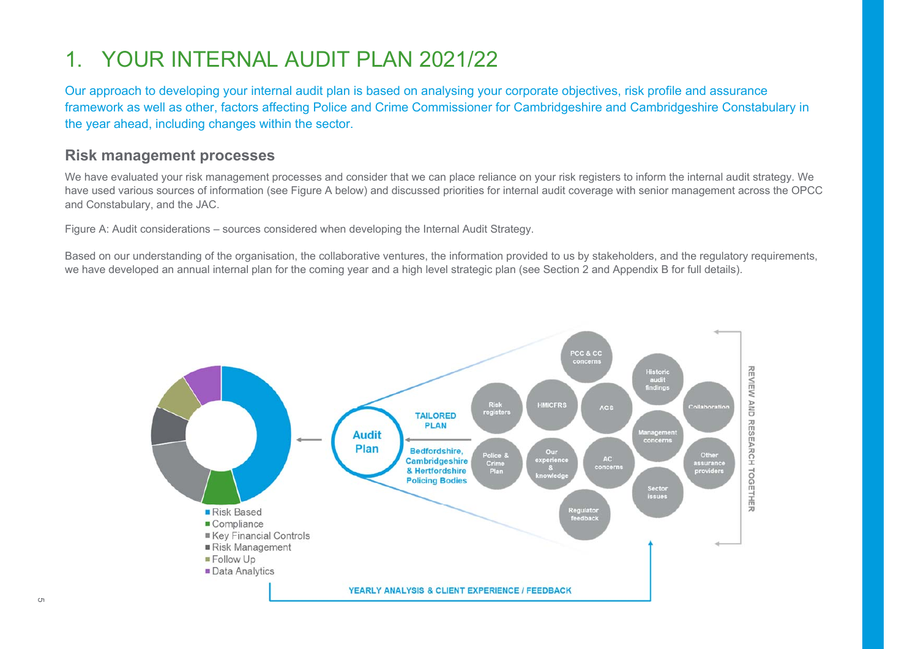### 1. YOUR INTERNAL AUDIT PLAN 2021/22

Our approach to developing your internal audit plan is based on analysing your corporate objectives, risk profile and assurance framework as well as other, factors affecting Police and Crime Commissioner for Cambridgeshire and Cambridgeshire Constabulary in the year ahead, including changes within the sector.

#### **Risk management processes**

We have evaluated your risk management processes and consider that we can place reliance on your risk registers to inform the internal audit strategy. We have used various sources of information (see Figure A below) and discussed priorities for internal audit coverage with senior management across the OPCC and Constabulary, and the JAC.

Figure A: Audit considerations – sources considered when developing the Internal Audit Strategy.

Based on our understanding of the organisation, the collaborative ventures, the information provided to us by stakeholders, and the regulatory requirements, we have developed an annual internal plan for the coming year and a high level strategic plan (see Section 2 and Appendix B for full details).

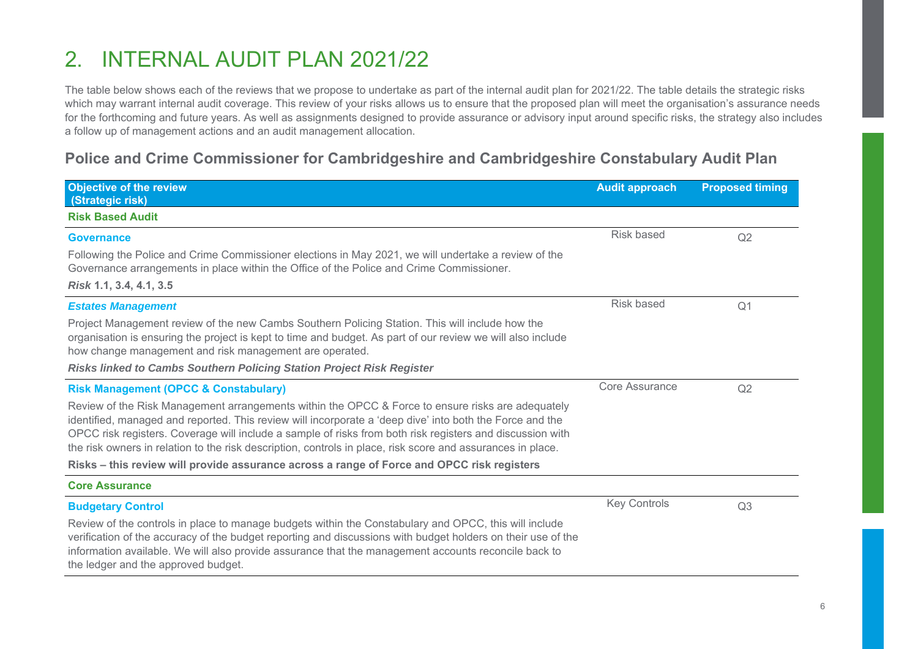## 2. INTERNAL AUDIT PLAN 2021/22

The table below shows each of the reviews that we propose to undertake as part of the internal audit plan for 2021/22. The table details the strategic risks which may warrant internal audit coverage. This review of your risks allows us to ensure that the proposed plan will meet the organisation's assurance needs for the forthcoming and future years. As well as assignments designed to provide assurance or advisory input around specific risks, the strategy also includes a follow up of management actions and an audit management allocation.

### **Police and Crime Commissioner for Cambridgeshire and Cambridgeshire Constabulary Audit Plan**

| <b>Objective of the review</b><br>(Strategic risk)                                                                                                                                                                                                                                                                                                                                                                                        | <b>Audit approach</b> | <b>Proposed timing</b> |
|-------------------------------------------------------------------------------------------------------------------------------------------------------------------------------------------------------------------------------------------------------------------------------------------------------------------------------------------------------------------------------------------------------------------------------------------|-----------------------|------------------------|
| <b>Risk Based Audit</b>                                                                                                                                                                                                                                                                                                                                                                                                                   |                       |                        |
| <b>Governance</b>                                                                                                                                                                                                                                                                                                                                                                                                                         | Risk based            | Q2                     |
| Following the Police and Crime Commissioner elections in May 2021, we will undertake a review of the<br>Governance arrangements in place within the Office of the Police and Crime Commissioner.                                                                                                                                                                                                                                          |                       |                        |
| Risk 1.1, 3.4, 4.1, 3.5                                                                                                                                                                                                                                                                                                                                                                                                                   |                       |                        |
| <b>Estates Management</b>                                                                                                                                                                                                                                                                                                                                                                                                                 | <b>Risk based</b>     | Q <sub>1</sub>         |
| Project Management review of the new Cambs Southern Policing Station. This will include how the<br>organisation is ensuring the project is kept to time and budget. As part of our review we will also include<br>how change management and risk management are operated.                                                                                                                                                                 |                       |                        |
| Risks linked to Cambs Southern Policing Station Project Risk Register                                                                                                                                                                                                                                                                                                                                                                     |                       |                        |
| <b>Risk Management (OPCC &amp; Constabulary)</b>                                                                                                                                                                                                                                                                                                                                                                                          | <b>Core Assurance</b> | Q2                     |
| Review of the Risk Management arrangements within the OPCC & Force to ensure risks are adequately<br>identified, managed and reported. This review will incorporate a 'deep dive' into both the Force and the<br>OPCC risk registers. Coverage will include a sample of risks from both risk registers and discussion with<br>the risk owners in relation to the risk description, controls in place, risk score and assurances in place. |                       |                        |
| Risks – this review will provide assurance across a range of Force and OPCC risk registers                                                                                                                                                                                                                                                                                                                                                |                       |                        |
| <b>Core Assurance</b>                                                                                                                                                                                                                                                                                                                                                                                                                     |                       |                        |
| <b>Budgetary Control</b>                                                                                                                                                                                                                                                                                                                                                                                                                  | <b>Key Controls</b>   | Q3                     |
| Review of the controls in place to manage budgets within the Constabulary and OPCC, this will include<br>verification of the accuracy of the budget reporting and discussions with budget holders on their use of the<br>information available. We will also provide assurance that the management accounts reconcile back to<br>the ledger and the approved budget.                                                                      |                       |                        |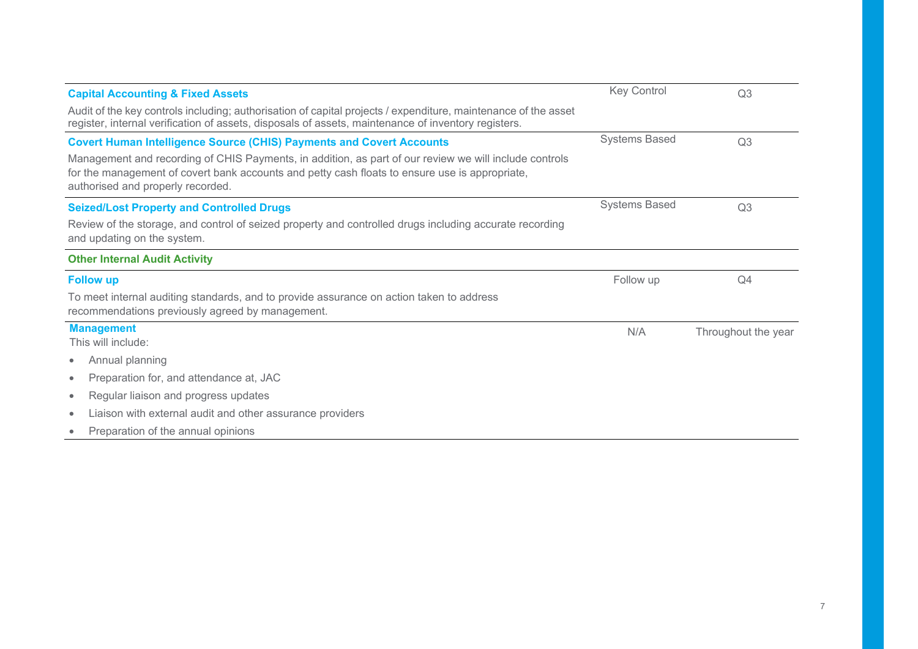| <b>Capital Accounting &amp; Fixed Assets</b>                                                                                                                                                                                                  | <b>Key Control</b>   | Q <sub>3</sub>      |
|-----------------------------------------------------------------------------------------------------------------------------------------------------------------------------------------------------------------------------------------------|----------------------|---------------------|
| Audit of the key controls including; authorisation of capital projects / expenditure, maintenance of the asset<br>register, internal verification of assets, disposals of assets, maintenance of inventory registers.                         |                      |                     |
| <b>Covert Human Intelligence Source (CHIS) Payments and Covert Accounts</b>                                                                                                                                                                   | <b>Systems Based</b> | Q3                  |
| Management and recording of CHIS Payments, in addition, as part of our review we will include controls<br>for the management of covert bank accounts and petty cash floats to ensure use is appropriate,<br>authorised and properly recorded. |                      |                     |
| <b>Seized/Lost Property and Controlled Drugs</b>                                                                                                                                                                                              | <b>Systems Based</b> | Q <sub>3</sub>      |
| Review of the storage, and control of seized property and controlled drugs including accurate recording<br>and updating on the system.                                                                                                        |                      |                     |
| <b>Other Internal Audit Activity</b>                                                                                                                                                                                                          |                      |                     |
| <b>Follow up</b>                                                                                                                                                                                                                              | Follow up            | Q4                  |
| To meet internal auditing standards, and to provide assurance on action taken to address<br>recommendations previously agreed by management.                                                                                                  |                      |                     |
| <b>Management</b><br>This will include:                                                                                                                                                                                                       | N/A                  | Throughout the year |
| Annual planning<br>۰                                                                                                                                                                                                                          |                      |                     |
| Preparation for, and attendance at, JAC<br>$\bullet$                                                                                                                                                                                          |                      |                     |
| Regular liaison and progress updates<br>$\bullet$                                                                                                                                                                                             |                      |                     |
| Liaison with external audit and other assurance providers<br>$\bullet$                                                                                                                                                                        |                      |                     |
| Preparation of the annual opinions                                                                                                                                                                                                            |                      |                     |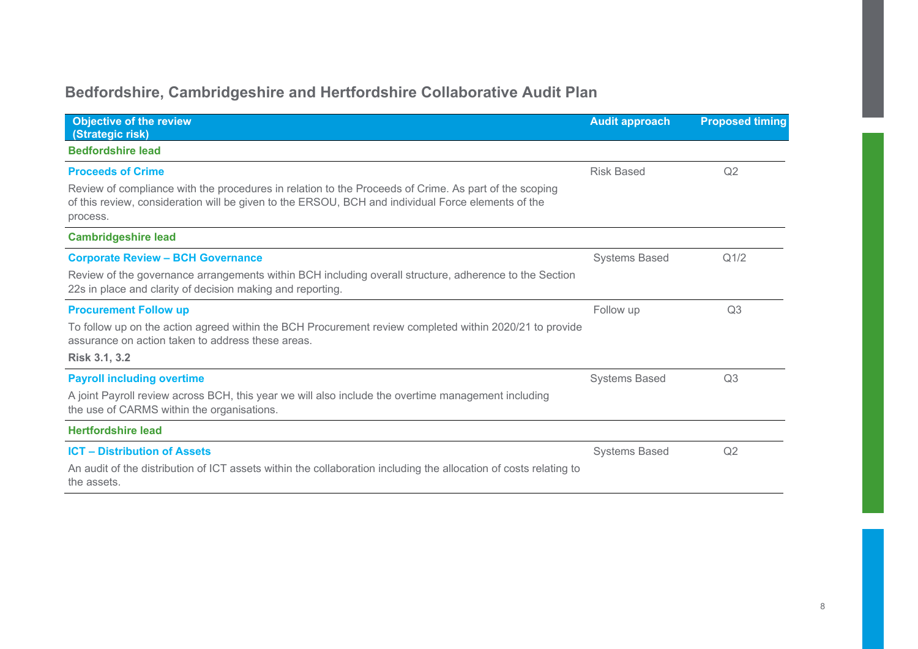### **Bedfordshire, Cambridgeshire and Hertfordshire Collaborative Audit Plan**

| <b>Objective of the review</b><br>(Strategic risk)                                                                                                                                                                      | <b>Audit approach</b> | <b>Proposed timing</b> |
|-------------------------------------------------------------------------------------------------------------------------------------------------------------------------------------------------------------------------|-----------------------|------------------------|
| <b>Bedfordshire lead</b>                                                                                                                                                                                                |                       |                        |
| <b>Proceeds of Crime</b>                                                                                                                                                                                                | <b>Risk Based</b>     | Q2                     |
| Review of compliance with the procedures in relation to the Proceeds of Crime. As part of the scoping<br>of this review, consideration will be given to the ERSOU, BCH and individual Force elements of the<br>process. |                       |                        |
| <b>Cambridgeshire lead</b>                                                                                                                                                                                              |                       |                        |
| <b>Corporate Review - BCH Governance</b>                                                                                                                                                                                | <b>Systems Based</b>  | Q <sub>1/2</sub>       |
| Review of the governance arrangements within BCH including overall structure, adherence to the Section<br>22s in place and clarity of decision making and reporting.                                                    |                       |                        |
| <b>Procurement Follow up</b>                                                                                                                                                                                            | Follow up             | Q <sub>3</sub>         |
| To follow up on the action agreed within the BCH Procurement review completed within 2020/21 to provide<br>assurance on action taken to address these areas.                                                            |                       |                        |
| <b>Risk 3.1, 3.2</b>                                                                                                                                                                                                    |                       |                        |
| <b>Payroll including overtime</b>                                                                                                                                                                                       | <b>Systems Based</b>  | Q <sub>3</sub>         |
| A joint Payroll review across BCH, this year we will also include the overtime management including<br>the use of CARMS within the organisations.                                                                       |                       |                        |
| <b>Hertfordshire lead</b>                                                                                                                                                                                               |                       |                        |
| <b>ICT - Distribution of Assets</b>                                                                                                                                                                                     | <b>Systems Based</b>  | Q2                     |
| An audit of the distribution of ICT assets within the collaboration including the allocation of costs relating to<br>the assets.                                                                                        |                       |                        |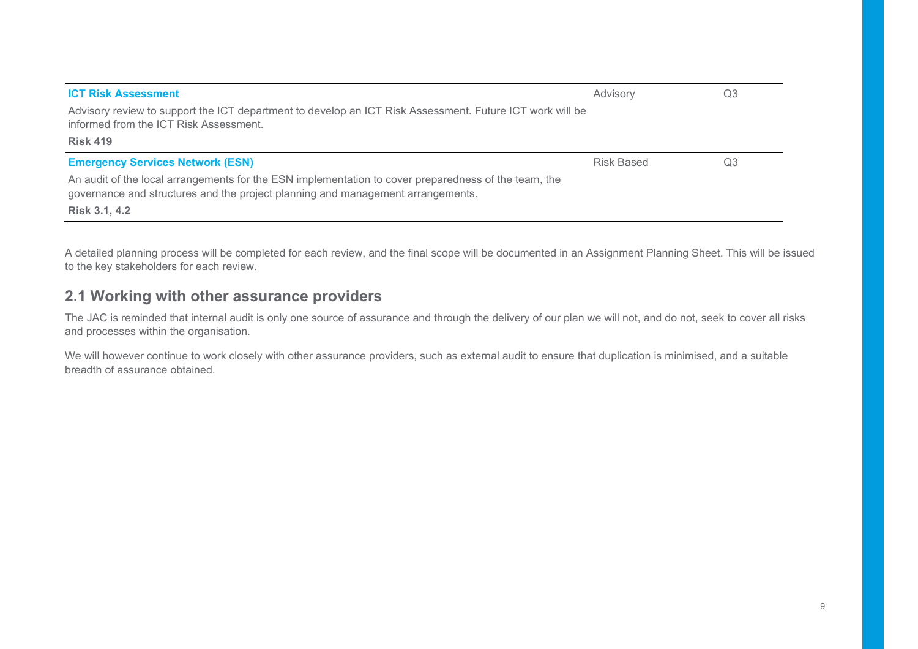| Advisory   | Q3 |
|------------|----|
|            |    |
|            |    |
| Risk Based | Q3 |
|            |    |
|            |    |

A detailed planning process will be completed for each review, and the final scope will be documented in an Assignment Planning Sheet. This will be issued to the key stakeholders for each review.

#### **2.1 Working with other assurance providers**

The JAC is reminded that internal audit is only one source of assurance and through the delivery of our plan we will not, and do not, seek to cover all risks and processes within the organisation.

We will however continue to work closely with other assurance providers, such as external audit to ensure that duplication is minimised, and a suitable breadth of assurance obtained.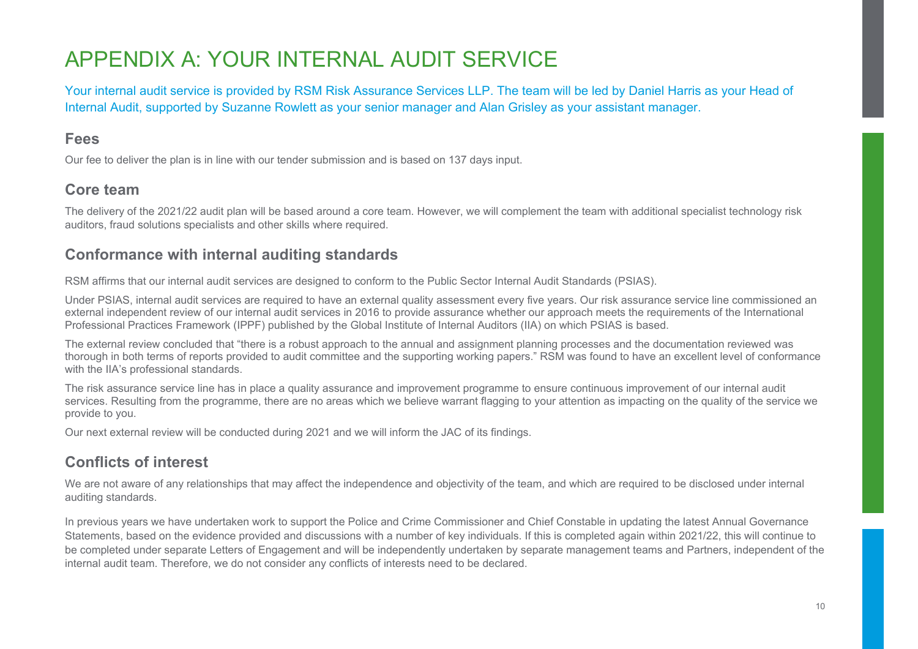### APPENDIX A: YOUR INTERNAL AUDIT SERVICE

Your internal audit service is provided by RSM Risk Assurance Services LLP. The team will be led by Daniel Harris as your Head of Internal Audit, supported by Suzanne Rowlett as your senior manager and Alan Grisley as your assistant manager.

#### **Fees**

Our fee to deliver the plan is in line with our tender submission and is based on 137 days input.

#### **Core team**

The delivery of the 2021/22 audit plan will be based around a core team. However, we will complement the team with additional specialist technology risk auditors, fraud solutions specialists and other skills where required.

#### **Conformance with internal auditing standards**

RSM affirms that our internal audit services are designed to conform to the Public Sector Internal Audit Standards (PSIAS).

Under PSIAS, internal audit services are required to have an external quality assessment every five years. Our risk assurance service line commissioned an external independent review of our internal audit services in 2016 to provide assurance whether our approach meets the requirements of the International Professional Practices Framework (IPPF) published by the Global Institute of Internal Auditors (IIA) on which PSIAS is based.

The external review concluded that "there is a robust approach to the annual and assignment planning processes and the documentation reviewed was thorough in both terms of reports provided to audit committee and the supporting working papers." RSM was found to have an excellent level of conformance with the IIA's professional standards.

The risk assurance service line has in place a quality assurance and improvement programme to ensure continuous improvement of our internal audit services. Resulting from the programme, there are no areas which we believe warrant flagging to your attention as impacting on the quality of the service we provide to you.

Our next external review will be conducted during 2021 and we will inform the JAC of its findings.

### **Conflicts of interest**

We are not aware of any relationships that may affect the independence and objectivity of the team, and which are required to be disclosed under internal auditing standards.

In previous years we have undertaken work to support the Police and Crime Commissioner and Chief Constable in updating the latest Annual Governance Statements, based on the evidence provided and discussions with a number of key individuals. If this is completed again within 2021/22, this will continue to be completed under separate Letters of Engagement and will be independently undertaken by separate management teams and Partners, independent of the internal audit team. Therefore, we do not consider any conflicts of interests need to be declared.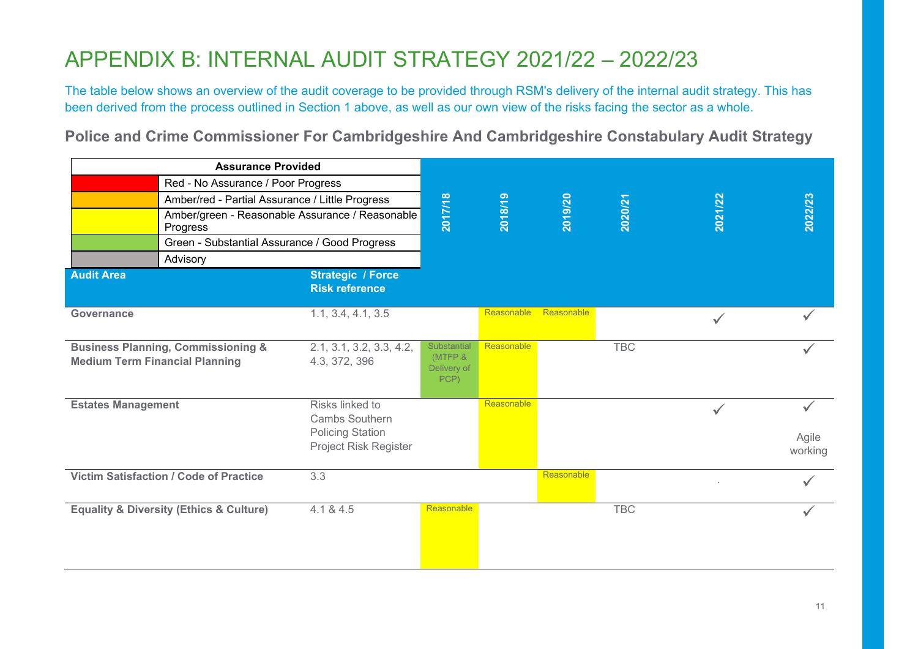### APPENDIX B: INTERNAL AUDIT STRATEGY 2021/22 – 2022/23

The table below shows an overview of the audit coverage to be provided through RSM's delivery of the internal audit strategy. This has been derived from the process outlined in Section 1 above, as well as our own view of the risks facing the sector as a whole.

**Police and Crime Commissioner For Cambridgeshire And Cambridgeshire Constabulary Audit Strategy** 

| <b>Assurance Provided</b>             |                                                        |                                                                                              |                                               |            |            |            |              |                  |
|---------------------------------------|--------------------------------------------------------|----------------------------------------------------------------------------------------------|-----------------------------------------------|------------|------------|------------|--------------|------------------|
|                                       | Red - No Assurance / Poor Progress                     |                                                                                              |                                               |            |            |            |              |                  |
|                                       | Amber/red - Partial Assurance / Little Progress        |                                                                                              |                                               |            |            |            |              |                  |
|                                       | Progress                                               | Amber/green - Reasonable Assurance / Reasonable                                              | 2017/18                                       | 2018/19    | 2019/20    | 2020/21    | 2021/22      | 2022/23          |
|                                       | Green - Substantial Assurance / Good Progress          |                                                                                              |                                               |            |            |            |              |                  |
|                                       | Advisory                                               |                                                                                              |                                               |            |            |            |              |                  |
| <b>Audit Area</b>                     |                                                        | <b>Strategic / Force</b><br><b>Risk reference</b>                                            |                                               |            |            |            |              |                  |
| Governance                            |                                                        | 1.1, 3.4, 4.1, 3.5                                                                           |                                               | Reasonable | Reasonable |            |              |                  |
| <b>Medium Term Financial Planning</b> | <b>Business Planning, Commissioning &amp;</b>          | 2.1, 3.1, 3.2, 3.3, 4.2,<br>4.3, 372, 396                                                    | Substantial<br>(MTFP &<br>Delivery of<br>PCP) | Reasonable |            | <b>TBC</b> |              |                  |
| <b>Estates Management</b>             |                                                        | Risks linked to<br><b>Cambs Southern</b><br><b>Policing Station</b><br>Project Risk Register |                                               | Reasonable |            |            | $\checkmark$ | Agile<br>working |
|                                       | <b>Victim Satisfaction / Code of Practice</b>          | 3.3                                                                                          |                                               |            | Reasonable |            |              |                  |
|                                       | <b>Equality &amp; Diversity (Ethics &amp; Culture)</b> | 4.1 & 4.5                                                                                    | Reasonable                                    |            |            | <b>TBC</b> |              |                  |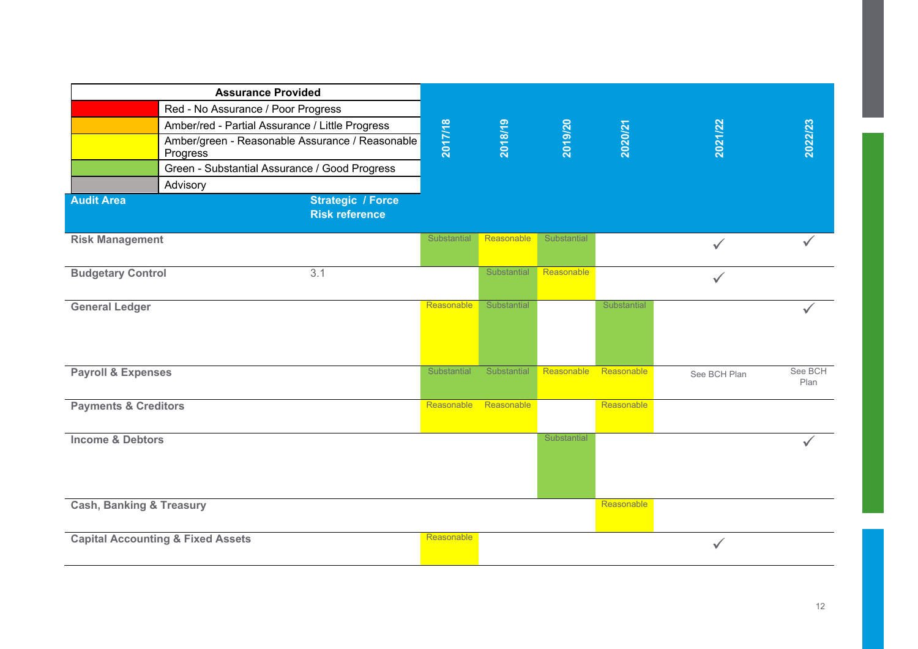|                                     | <b>Assurance Provided</b>                                   |             |             |             |             |              |                 |
|-------------------------------------|-------------------------------------------------------------|-------------|-------------|-------------|-------------|--------------|-----------------|
|                                     | Red - No Assurance / Poor Progress                          |             |             |             |             |              |                 |
|                                     | Amber/red - Partial Assurance / Little Progress             |             |             |             |             |              |                 |
|                                     | Amber/green - Reasonable Assurance / Reasonable<br>Progress | 2017/18     | 2018/19     | 2019/20     | 2020/21     | 2021/22      | 2022/23         |
|                                     | Green - Substantial Assurance / Good Progress               |             |             |             |             |              |                 |
|                                     | Advisory                                                    |             |             |             |             |              |                 |
| <b>Audit Area</b>                   | <b>Strategic / Force</b><br><b>Risk reference</b>           |             |             |             |             |              |                 |
| <b>Risk Management</b>              |                                                             | Substantial | Reasonable  | Substantial |             |              |                 |
| <b>Budgetary Control</b>            | 3.1                                                         |             | Substantial | Reasonable  |             | $\checkmark$ |                 |
| <b>General Ledger</b>               |                                                             | Reasonable  | Substantial |             | Substantial |              |                 |
| <b>Payroll &amp; Expenses</b>       |                                                             | Substantial | Substantial | Reasonable  | Reasonable  | See BCH Plan | See BCH<br>Plan |
| <b>Payments &amp; Creditors</b>     |                                                             | Reasonable  | Reasonable  |             | Reasonable  |              |                 |
| <b>Income &amp; Debtors</b>         |                                                             |             |             | Substantial |             |              | ✓               |
| <b>Cash, Banking &amp; Treasury</b> |                                                             |             |             |             | Reasonable  |              |                 |
|                                     | <b>Capital Accounting &amp; Fixed Assets</b>                | Reasonable  |             |             |             | $\checkmark$ |                 |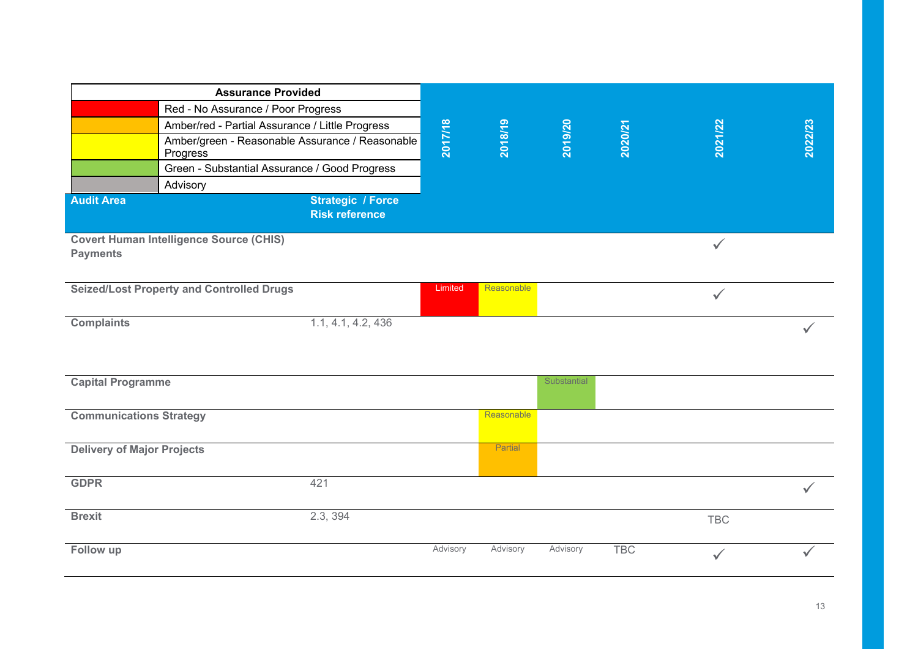|                                   | <b>Assurance Provided</b>                                   |                                                   |          |            |             |            |              |              |
|-----------------------------------|-------------------------------------------------------------|---------------------------------------------------|----------|------------|-------------|------------|--------------|--------------|
|                                   | Red - No Assurance / Poor Progress                          |                                                   |          |            |             |            |              |              |
|                                   | Amber/red - Partial Assurance / Little Progress             |                                                   |          |            |             |            |              |              |
|                                   | Amber/green - Reasonable Assurance / Reasonable<br>Progress |                                                   | 2017/18  | 2018/19    | 2019/20     | 2020/21    | 2021/22      | 2022/23      |
|                                   | Green - Substantial Assurance / Good Progress               |                                                   |          |            |             |            |              |              |
|                                   | Advisory                                                    |                                                   |          |            |             |            |              |              |
| <b>Audit Area</b>                 |                                                             | <b>Strategic / Force</b><br><b>Risk reference</b> |          |            |             |            |              |              |
| <b>Payments</b>                   | <b>Covert Human Intelligence Source (CHIS)</b>              |                                                   |          |            |             |            | $\checkmark$ |              |
|                                   | <b>Seized/Lost Property and Controlled Drugs</b>            |                                                   | Limited  | Reasonable |             |            | $\checkmark$ |              |
| <b>Complaints</b>                 |                                                             | 1.1, 4.1, 4.2, 436                                |          |            |             |            |              |              |
| <b>Capital Programme</b>          |                                                             |                                                   |          |            | Substantial |            |              |              |
| <b>Communications Strategy</b>    |                                                             |                                                   |          | Reasonable |             |            |              |              |
| <b>Delivery of Major Projects</b> |                                                             |                                                   |          | Partial    |             |            |              |              |
| <b>GDPR</b>                       |                                                             | 421                                               |          |            |             |            |              | $\checkmark$ |
| <b>Brexit</b>                     |                                                             | 2.3, 394                                          |          |            |             |            | <b>TBC</b>   |              |
| Follow up                         |                                                             |                                                   | Advisory | Advisory   | Advisory    | <b>TBC</b> | $\checkmark$ |              |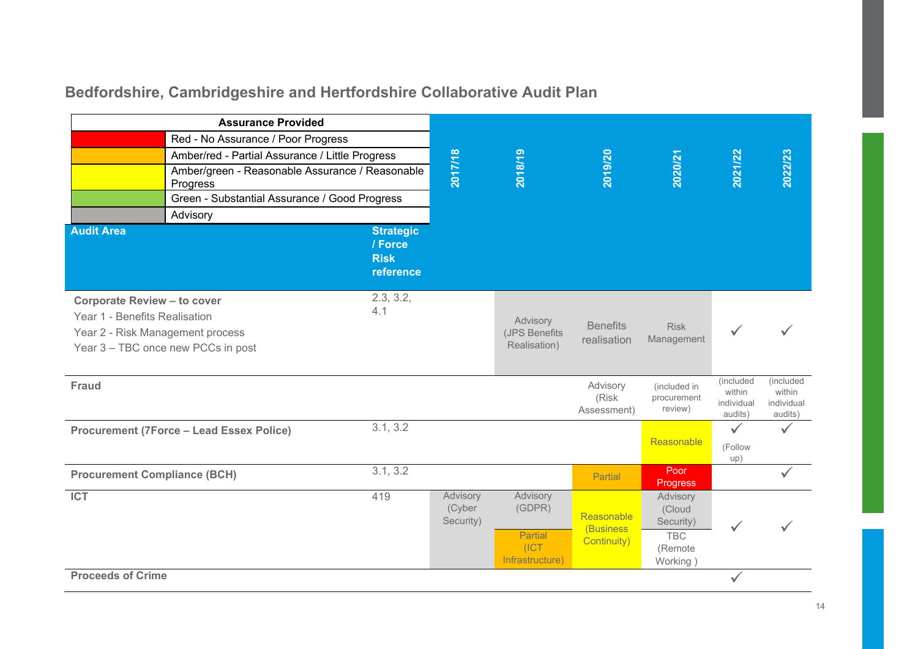### **Bedfordshire, Cambridgeshire and Hertfordshire Collaborative Audit Plan**

| <b>Assurance Provided</b>                                                                               |                                                             |                                                         |                                 |                                                           |                                         |                                                                     |                                              |                                              |
|---------------------------------------------------------------------------------------------------------|-------------------------------------------------------------|---------------------------------------------------------|---------------------------------|-----------------------------------------------------------|-----------------------------------------|---------------------------------------------------------------------|----------------------------------------------|----------------------------------------------|
| Red - No Assurance / Poor Progress                                                                      |                                                             |                                                         |                                 |                                                           |                                         |                                                                     |                                              |                                              |
|                                                                                                         | Amber/red - Partial Assurance / Little Progress             |                                                         |                                 |                                                           |                                         |                                                                     |                                              |                                              |
|                                                                                                         | Amber/green - Reasonable Assurance / Reasonable<br>Progress |                                                         | 2017/18                         | 2018/19                                                   | 2019/20                                 | 2020/21                                                             | 2021/22                                      | 2022/23                                      |
|                                                                                                         | Green - Substantial Assurance / Good Progress               |                                                         |                                 |                                                           |                                         |                                                                     |                                              |                                              |
|                                                                                                         | Advisory                                                    |                                                         |                                 |                                                           |                                         |                                                                     |                                              |                                              |
| <b>Audit Area</b>                                                                                       |                                                             | <b>Strategic</b><br>/ Force<br><b>Risk</b><br>reference |                                 |                                                           |                                         |                                                                     |                                              |                                              |
| <b>Corporate Review - to cover</b><br>Year 1 - Benefits Realisation<br>Year 2 - Risk Management process | Year 3 - TBC once new PCCs in post                          | 2.3, 3.2,<br>4.1                                        |                                 | Advisory<br>(JPS Benefits<br>Realisation)                 | <b>Benefits</b><br>realisation          | <b>Risk</b><br>Management                                           |                                              |                                              |
| Fraud                                                                                                   |                                                             |                                                         |                                 |                                                           | Advisory<br>(Risk<br>Assessment)        | (included in<br>procurement<br>review)                              | (included<br>within<br>individual<br>audits) | (included<br>within<br>individual<br>audits) |
|                                                                                                         | <b>Procurement (7Force - Lead Essex Police)</b>             | 3.1, 3.2                                                |                                 |                                                           |                                         | Reasonable                                                          | $\checkmark$<br>(Follow<br>up)               | $\checkmark$                                 |
| <b>Procurement Compliance (BCH)</b>                                                                     |                                                             | 3.1, 3.2                                                |                                 |                                                           | Partial                                 | Poor<br>Progress                                                    |                                              |                                              |
| <b>ICT</b>                                                                                              |                                                             | 419                                                     | Advisory<br>(Cyber<br>Security) | Advisory<br>(GDPR)<br>Partial<br>(ICT)<br>Infrastructure) | Reasonable<br>(Business)<br>Continuity) | Advisory<br>(Cloud<br>Security)<br><b>TBC</b><br>(Remote<br>Working |                                              |                                              |
| <b>Proceeds of Crime</b>                                                                                |                                                             |                                                         |                                 |                                                           |                                         |                                                                     |                                              |                                              |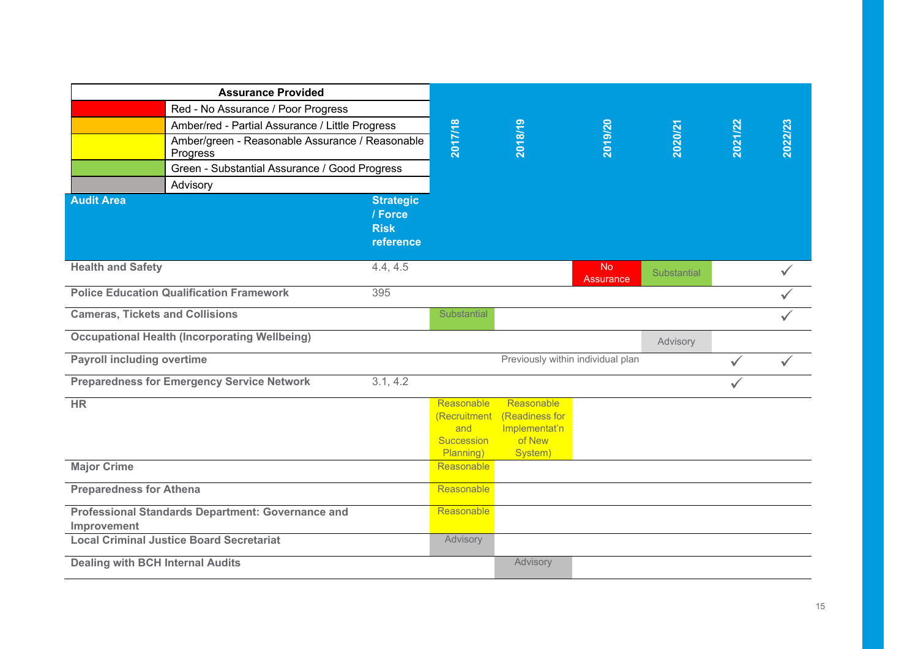| <b>Assurance Provided</b>               |                                                             |                                                         |                                                              |                                                                    |                               |             |              |              |
|-----------------------------------------|-------------------------------------------------------------|---------------------------------------------------------|--------------------------------------------------------------|--------------------------------------------------------------------|-------------------------------|-------------|--------------|--------------|
| Red - No Assurance / Poor Progress      |                                                             |                                                         |                                                              |                                                                    |                               |             |              |              |
|                                         | Amber/red - Partial Assurance / Little Progress             |                                                         |                                                              |                                                                    |                               |             |              |              |
|                                         | Amber/green - Reasonable Assurance / Reasonable<br>Progress |                                                         | 2017/18                                                      | 2018/19                                                            | 2019/20                       | 2020/21     | 2021/22      | 2022/23      |
|                                         | Green - Substantial Assurance / Good Progress               |                                                         |                                                              |                                                                    |                               |             |              |              |
|                                         | Advisory                                                    |                                                         |                                                              |                                                                    |                               |             |              |              |
| <b>Audit Area</b>                       |                                                             | <b>Strategic</b><br>/ Force<br><b>Risk</b><br>reference |                                                              |                                                                    |                               |             |              |              |
| <b>Health and Safety</b>                |                                                             | 4.4, 4.5                                                |                                                              |                                                                    | <b>No</b><br><b>Assurance</b> | Substantial |              | ✓            |
|                                         | <b>Police Education Qualification Framework</b>             | 395                                                     |                                                              |                                                                    |                               |             |              |              |
| <b>Cameras, Tickets and Collisions</b>  |                                                             | Substantial                                             |                                                              |                                                                    |                               |             | ✓            |              |
|                                         | <b>Occupational Health (Incorporating Wellbeing)</b>        |                                                         |                                                              |                                                                    |                               | Advisory    |              |              |
| <b>Payroll including overtime</b>       |                                                             |                                                         |                                                              | Previously within individual plan                                  |                               |             |              | $\checkmark$ |
|                                         | <b>Preparedness for Emergency Service Network</b>           | 3.1, 4.2                                                |                                                              |                                                                    |                               |             | $\checkmark$ |              |
| <b>HR</b>                               |                                                             |                                                         | Reasonable<br>(Recruitment<br>and<br>Succession<br>Planning) | Reasonable<br>(Readiness for<br>Implementat'n<br>of New<br>System) |                               |             |              |              |
| <b>Major Crime</b>                      |                                                             |                                                         | <b>Reasonable</b>                                            |                                                                    |                               |             |              |              |
| <b>Preparedness for Athena</b>          |                                                             |                                                         | Reasonable                                                   |                                                                    |                               |             |              |              |
| Improvement                             | <b>Professional Standards Department: Governance and</b>    |                                                         | Reasonable                                                   |                                                                    |                               |             |              |              |
|                                         | <b>Local Criminal Justice Board Secretariat</b>             |                                                         | Advisory                                                     |                                                                    |                               |             |              |              |
| <b>Dealing with BCH Internal Audits</b> |                                                             |                                                         |                                                              | Advisory                                                           |                               |             |              |              |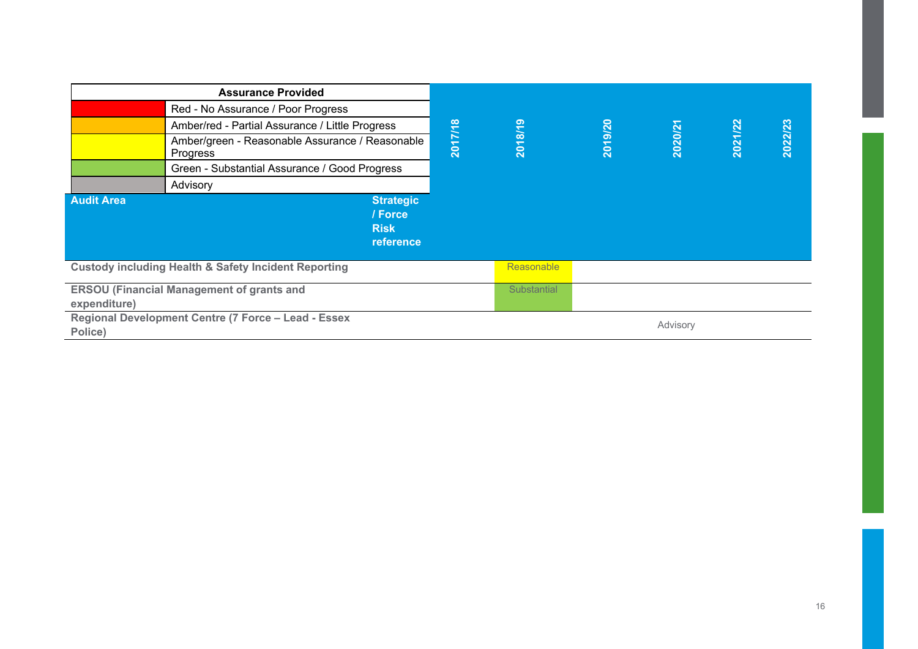| <b>Assurance Provided</b>                                       |                                                             |         |                   |         |          |         |         |
|-----------------------------------------------------------------|-------------------------------------------------------------|---------|-------------------|---------|----------|---------|---------|
| Red - No Assurance / Poor Progress                              |                                                             |         |                   |         |          |         |         |
|                                                                 | Amber/red - Partial Assurance / Little Progress             |         |                   |         |          |         |         |
|                                                                 | Amber/green - Reasonable Assurance / Reasonable<br>Progress | 2017/18 | 2018/19           | 2019/20 | 2020/21  | 2021/22 | 2022/23 |
|                                                                 | Green - Substantial Assurance / Good Progress               |         |                   |         |          |         |         |
|                                                                 | Advisory                                                    |         |                   |         |          |         |         |
| <b>Audit Area</b>                                               | <b>Strategic</b>                                            |         |                   |         |          |         |         |
|                                                                 | / Force<br><b>Risk</b>                                      |         |                   |         |          |         |         |
|                                                                 | reference                                                   |         |                   |         |          |         |         |
| <b>Custody including Health &amp; Safety Incident Reporting</b> |                                                             |         | <b>Reasonable</b> |         |          |         |         |
| <b>ERSOU (Financial Management of grants and</b>                |                                                             |         | Substantial       |         |          |         |         |
| expenditure)                                                    |                                                             |         |                   |         |          |         |         |
| Regional Development Centre (7 Force - Lead - Essex             |                                                             |         |                   |         | Advisory |         |         |
| Police)                                                         |                                                             |         |                   |         |          |         |         |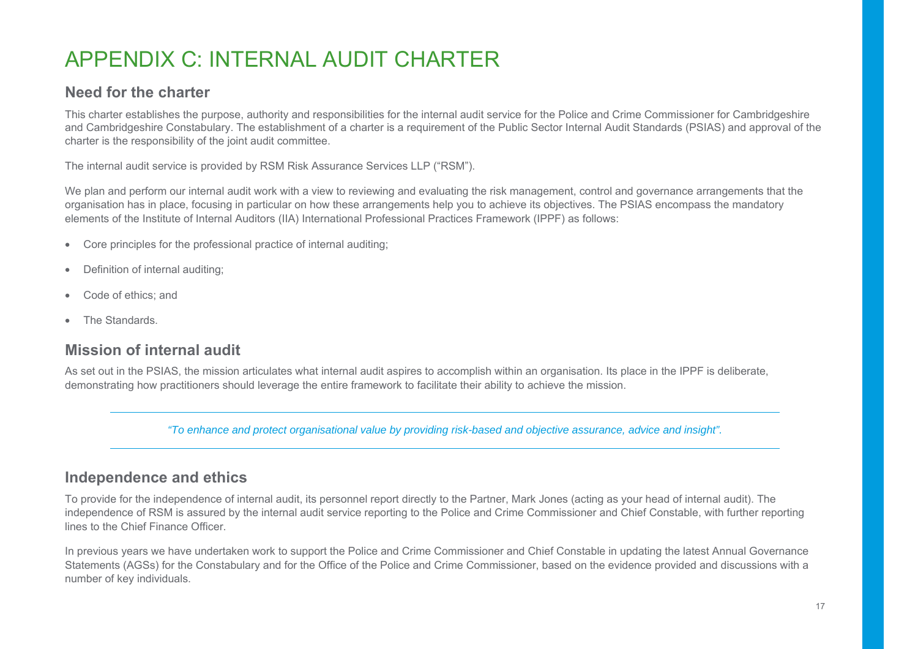## APPENDIX C: INTERNAL AUDIT CHARTER

#### **Need for the charter**

This charter establishes the purpose, authority and responsibilities for the internal audit service for the Police and Crime Commissioner for Cambridgeshire and Cambridgeshire Constabulary. The establishment of a charter is a requirement of the Public Sector Internal Audit Standards (PSIAS) and approval of the charter is the responsibility of the joint audit committee.

The internal audit service is provided by RSM Risk Assurance Services LLP ("RSM").

We plan and perform our internal audit work with a view to reviewing and evaluating the risk management, control and governance arrangements that the organisation has in place, focusing in particular on how these arrangements help you to achieve its objectives. The PSIAS encompass the mandatory elements of the Institute of Internal Auditors (IIA) International Professional Practices Framework (IPPF) as follows:

- Core principles for the professional practice of internal auditing;
- Definition of internal auditing;
- Code of ethics; and
- The Standards.

#### **Mission of internal audit**

As set out in the PSIAS, the mission articulates what internal audit aspires to accomplish within an organisation. Its place in the IPPF is deliberate, demonstrating how practitioners should leverage the entire framework to facilitate their ability to achieve the mission.

*"To enhance and protect organisational value by providing risk-based and objective assurance, advice and insight".* 

#### **Independence and ethics**

To provide for the independence of internal audit, its personnel report directly to the Partner, Mark Jones (acting as your head of internal audit). The independence of RSM is assured by the internal audit service reporting to the Police and Crime Commissioner and Chief Constable, with further reporting lines to the Chief Finance Officer.

In previous years we have undertaken work to support the Police and Crime Commissioner and Chief Constable in updating the latest Annual Governance Statements (AGSs) for the Constabulary and for the Office of the Police and Crime Commissioner, based on the evidence provided and discussions with a number of key individuals.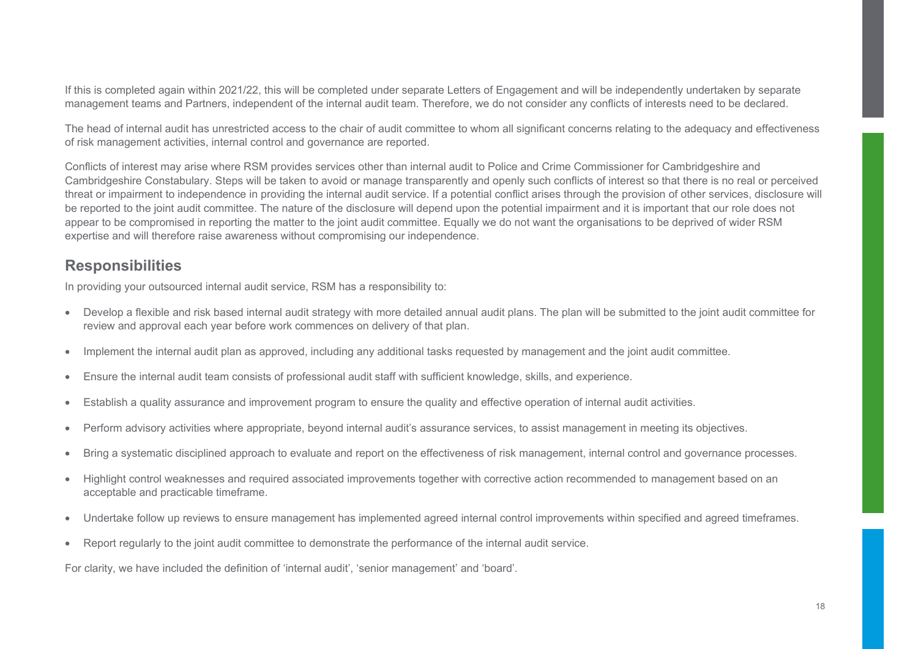If this is completed again within 2021/22, this will be completed under separate Letters of Engagement and will be independently undertaken by separate management teams and Partners, independent of the internal audit team. Therefore, we do not consider any conflicts of interests need to be declared.

The head of internal audit has unrestricted access to the chair of audit committee to whom all significant concerns relating to the adequacy and effectiveness of risk management activities, internal control and governance are reported.

Conflicts of interest may arise where RSM provides services other than internal audit to Police and Crime Commissioner for Cambridgeshire and Cambridgeshire Constabulary. Steps will be taken to avoid or manage transparently and openly such conflicts of interest so that there is no real or perceived threat or impairment to independence in providing the internal audit service. If a potential conflict arises through the provision of other services, disclosure will be reported to the joint audit committee. The nature of the disclosure will depend upon the potential impairment and it is important that our role does not appear to be compromised in reporting the matter to the joint audit committee. Equally we do not want the organisations to be deprived of wider RSM expertise and will therefore raise awareness without compromising our independence.

#### **Responsibilities**

In providing your outsourced internal audit service, RSM has a responsibility to:

- Develop a flexible and risk based internal audit strategy with more detailed annual audit plans. The plan will be submitted to the joint audit committee for review and approval each year before work commences on delivery of that plan.
- Implement the internal audit plan as approved, including any additional tasks requested by management and the joint audit committee.
- Ensure the internal audit team consists of professional audit staff with sufficient knowledge, skills, and experience.
- Establish a quality assurance and improvement program to ensure the quality and effective operation of internal audit activities.
- Perform advisory activities where appropriate, beyond internal audit's assurance services, to assist management in meeting its objectives.
- Bring a systematic disciplined approach to evaluate and report on the effectiveness of risk management, internal control and governance processes.
- Highlight control weaknesses and required associated improvements together with corrective action recommended to management based on an acceptable and practicable timeframe.
- Undertake follow up reviews to ensure management has implemented agreed internal control improvements within specified and agreed timeframes.
- Report regularly to the joint audit committee to demonstrate the performance of the internal audit service.

For clarity, we have included the definition of 'internal audit', 'senior management' and 'board'.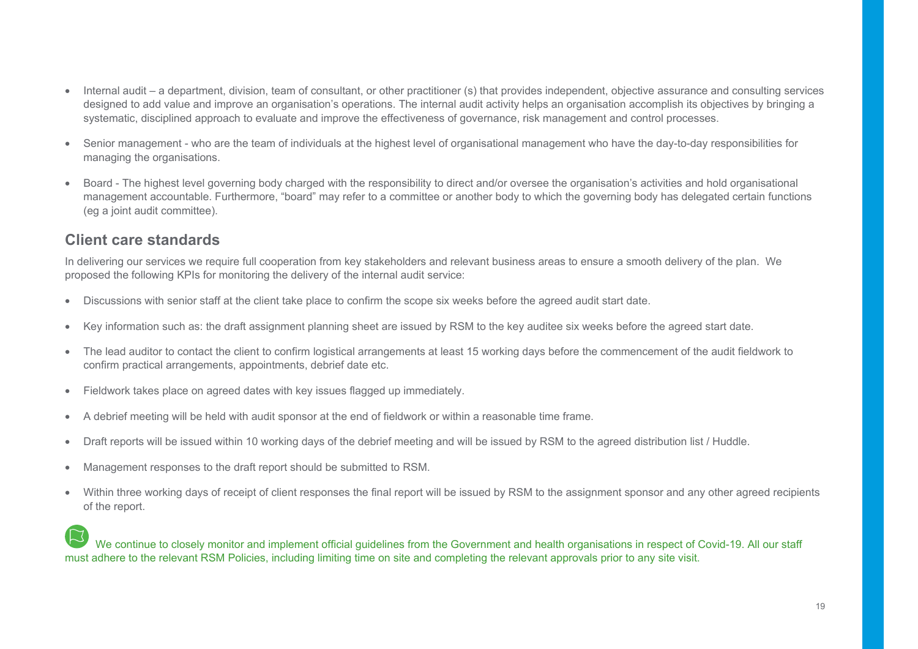- Internal audit a department, division, team of consultant, or other practitioner (s) that provides independent, objective assurance and consulting services designed to add value and improve an organisation's operations. The internal audit activity helps an organisation accomplish its objectives by bringing a systematic, disciplined approach to evaluate and improve the effectiveness of governance, risk management and control processes.
- Senior management who are the team of individuals at the highest level of organisational management who have the day-to-day responsibilities for managing the organisations.
- Board The highest level governing body charged with the responsibility to direct and/or oversee the organisation's activities and hold organisational management accountable. Furthermore, "board" may refer to a committee or another body to which the governing body has delegated certain functions (eg a joint audit committee).

#### **Client care standards**

In delivering our services we require full cooperation from key stakeholders and relevant business areas to ensure a smooth delivery of the plan. We proposed the following KPIs for monitoring the delivery of the internal audit service:

- Discussions with senior staff at the client take place to confirm the scope six weeks before the agreed audit start date.
- Key information such as: the draft assignment planning sheet are issued by RSM to the key auditee six weeks before the agreed start date.
- The lead auditor to contact the client to confirm logistical arrangements at least 15 working days before the commencement of the audit fieldwork to confirm practical arrangements, appointments, debrief date etc.
- Fieldwork takes place on agreed dates with key issues flagged up immediately.
- A debrief meeting will be held with audit sponsor at the end of fieldwork or within a reasonable time frame.
- Draft reports will be issued within 10 working days of the debrief meeting and will be issued by RSM to the agreed distribution list / Huddle.
- Management responses to the draft report should be submitted to RSM.
- Within three working days of receipt of client responses the final report will be issued by RSM to the assignment sponsor and any other agreed recipients of the report.

#### We continue to closely monitor and implement official guidelines from the Government and health organisations in respect of Covid-19. All our staff must adhere to the relevant RSM Policies, including limiting time on site and completing the relevant approvals prior to any site visit.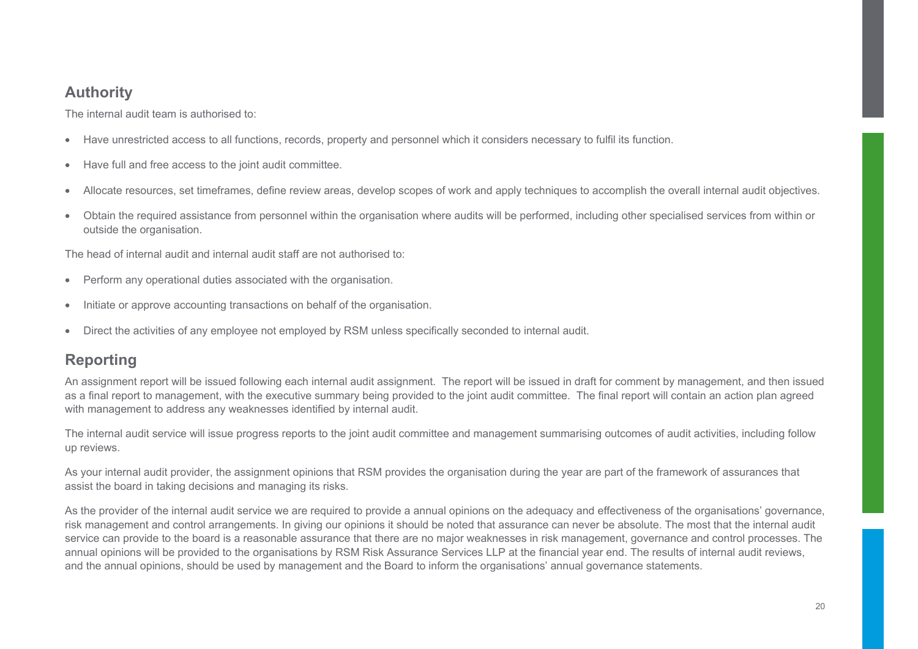### **Authority**

The internal audit team is authorised to:

- Have unrestricted access to all functions, records, property and personnel which it considers necessary to fulfil its function.
- Have full and free access to the joint audit committee.
- Allocate resources, set timeframes, define review areas, develop scopes of work and apply techniques to accomplish the overall internal audit objectives.
- Obtain the required assistance from personnel within the organisation where audits will be performed, including other specialised services from within or outside the organisation.

The head of internal audit and internal audit staff are not authorised to:

- Perform any operational duties associated with the organisation.
- Initiate or approve accounting transactions on behalf of the organisation.
- Direct the activities of any employee not employed by RSM unless specifically seconded to internal audit.

### **Reporting**

An assignment report will be issued following each internal audit assignment. The report will be issued in draft for comment by management, and then issued as a final report to management, with the executive summary being provided to the joint audit committee. The final report will contain an action plan agreed with management to address any weaknesses identified by internal audit.

The internal audit service will issue progress reports to the joint audit committee and management summarising outcomes of audit activities, including follow up reviews.

As your internal audit provider, the assignment opinions that RSM provides the organisation during the year are part of the framework of assurances that assist the board in taking decisions and managing its risks.

As the provider of the internal audit service we are required to provide a annual opinions on the adequacy and effectiveness of the organisations' governance, risk management and control arrangements. In giving our opinions it should be noted that assurance can never be absolute. The most that the internal audit service can provide to the board is a reasonable assurance that there are no major weaknesses in risk management, governance and control processes. The annual opinions will be provided to the organisations by RSM Risk Assurance Services LLP at the financial year end. The results of internal audit reviews, and the annual opinions, should be used by management and the Board to inform the organisations' annual governance statements.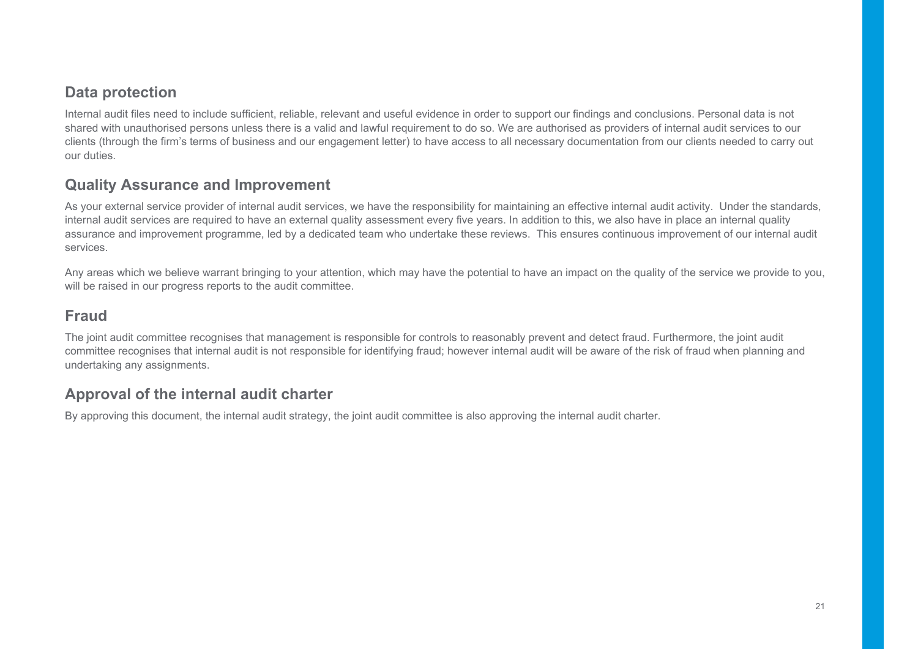#### **Data protection**

Internal audit files need to include sufficient, reliable, relevant and useful evidence in order to support our findings and conclusions. Personal data is not shared with unauthorised persons unless there is a valid and lawful requirement to do so. We are authorised as providers of internal audit services to our clients (through the firm's terms of business and our engagement letter) to have access to all necessary documentation from our clients needed to carry out our duties.

#### **Quality Assurance and Improvement**

As your external service provider of internal audit services, we have the responsibility for maintaining an effective internal audit activity. Under the standards, internal audit services are required to have an external quality assessment every five years. In addition to this, we also have in place an internal quality assurance and improvement programme, led by a dedicated team who undertake these reviews. This ensures continuous improvement of our internal audit services.

Any areas which we believe warrant bringing to your attention, which may have the potential to have an impact on the quality of the service we provide to you, will be raised in our progress reports to the audit committee.

### **Fraud**

The joint audit committee recognises that management is responsible for controls to reasonably prevent and detect fraud. Furthermore, the joint audit committee recognises that internal audit is not responsible for identifying fraud; however internal audit will be aware of the risk of fraud when planning and undertaking any assignments.

### **Approval of the internal audit charter**

By approving this document, the internal audit strategy, the joint audit committee is also approving the internal audit charter.